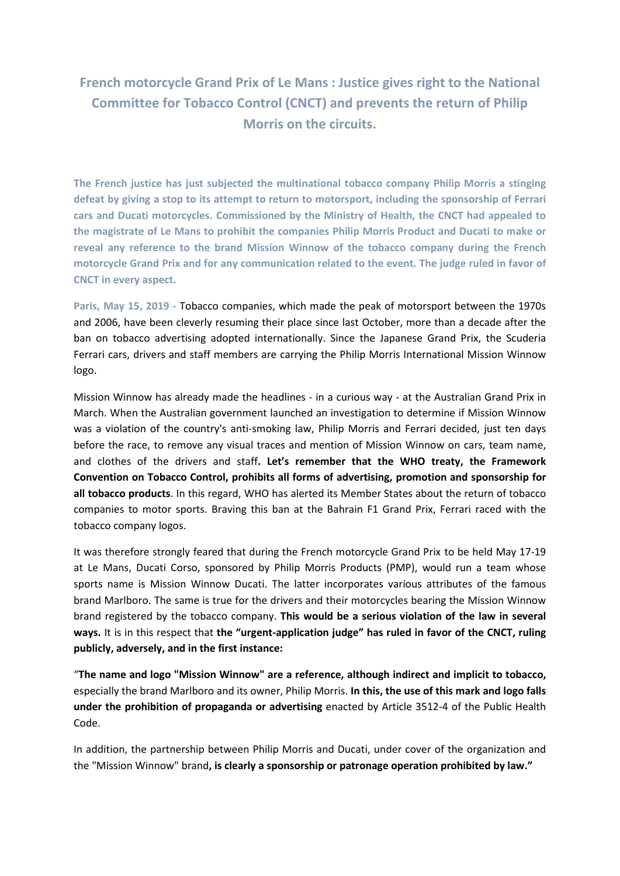**French motorcycle Grand Prix of Le Mans : Justice gives right to the National Committee for Tobacco Control (CNCT) and prevents the return of Philip Morris on the circuits.**

**The French justice has just subjected the multinational tobacco company Philip Morris a stinging defeat by giving a stop to its attempt to return to motorsport, including the sponsorship of Ferrari cars and Ducati motorcycles. Commissioned by the Ministry of Health, the CNCT had appealed to the magistrate of Le Mans to prohibit the companies Philip Morris Product and Ducati to make or reveal any reference to the brand Mission Winnow of the tobacco company during the French motorcycle Grand Prix and for any communication related to the event. The judge ruled in favor of CNCT in every aspect.** 

**Paris, May 15, 2019 -** Tobacco companies, which made the peak of motorsport between the 1970s and 2006, have been cleverly resuming their place since last October, more than a decade after the ban on tobacco advertising adopted internationally. Since the Japanese Grand Prix, the Scuderia Ferrari cars, drivers and staff members are carrying the Philip Morris International Mission Winnow logo.

Mission Winnow has already made the headlines - in a curious way - at the Australian Grand Prix in March. When the Australian government launched an investigation to determine if Mission Winnow was a violation of the country's anti-smoking law, Philip Morris and Ferrari decided, just ten days before the race, to remove any visual traces and mention of Mission Winnow on cars, team name, and clothes of the drivers and staff**. Let's remember that the WHO treaty, the Framework Convention on Tobacco Control, prohibits all forms of advertising, promotion and sponsorship for all tobacco products**. In this regard, WHO has alerted its Member States about the return of tobacco companies to motor sports. Braving this ban at the Bahrain F1 Grand Prix, Ferrari raced with the tobacco company logos.

It was therefore strongly feared that during the French motorcycle Grand Prix to be held May 17-19 at Le Mans, Ducati Corso, sponsored by Philip Morris Products (PMP), would run a team whose sports name is Mission Winnow Ducati. The latter incorporates various attributes of the famous brand Marlboro. The same is true for the drivers and their motorcycles bearing the Mission Winnow brand registered by the tobacco company. **This would be a serious violation of the law in several ways.** It is in this respect that **the "urgent-application judge" has ruled in favor of the CNCT, ruling publicly, adversely, and in the first instance:**

"**The name and logo "Mission Winnow" are a reference, although indirect and implicit to tobacco,**  especially the brand Marlboro and its owner, Philip Morris. **In this, the use of this mark and logo falls under the prohibition of propaganda or advertising** enacted by Article 3512-4 of the Public Health Code.

In addition, the partnership between Philip Morris and Ducati, under cover of the organization and the "Mission Winnow" brand**, is clearly a sponsorship or patronage operation prohibited by law."**